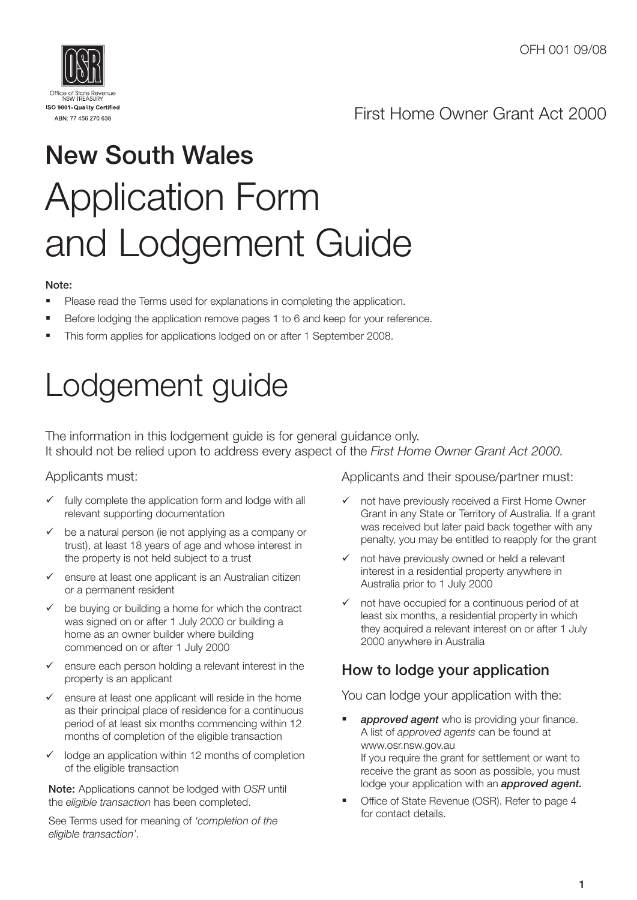

## First Home Owner Grant Act 2000

# New South Wales Application Form and Lodgement Guide

#### Note:

- **Please read the Terms used for explanations in completing the application.**
- Before lodging the application remove pages 1 to 6 and keep for your reference.
- This form applies for applications lodged on or after 1 September 2008.

# Lodgement guide

The information in this lodgement guide is for general guidance only. It should not be relied upon to address every aspect of the *First Home Owner Grant Act 2000.*

### Applicants must:

- fully complete the application form and lodge with all relevant supporting documentation
- $\checkmark$  be a natural person (ie not applying as a company or trust), at least 18 years of age and whose interest in the property is not held subject to a trust
- $\checkmark$  ensure at least one applicant is an Australian citizen or a permanent resident
- $\checkmark$  be buying or building a home for which the contract was signed on or after 1 July 2000 or building a home as an owner builder where building commenced on or after 1 July 2000
- ensure each person holding a relevant interest in the property is an applicant
- $\checkmark$  ensure at least one applicant will reside in the home as their principal place of residence for a continuous period of at least six months commencing within 12 months of completion of the eligible transaction
- $\checkmark$  lodge an application within 12 months of completion of the eligible transaction

Note: Applications cannot be lodged with *OSR* until the *eligible transaction* has been completed.

See Terms used for meaning of *'completion of the eligible transaction'.*

Applicants and their spouse/partner must:

- $\checkmark$  not have previously received a First Home Owner Grant in any State or Territory of Australia. If a grant was received but later paid back together with any penalty, you may be entitled to reapply for the grant
- $\checkmark$  not have previously owned or held a relevant interest in a residential property anywhere in Australia prior to 1 July 2000
- $\checkmark$  not have occupied for a continuous period of at least six months, a residential property in which they acquired a relevant interest on or after 1 July 2000 anywhere in Australia

## How to lodge your application

You can lodge your application with the:

- *approved agent* who is providing your finance. A list of *approved agents* can be found at www.osr.nsw.gov.au If you require the grant for settlement or want to receive the grant as soon as possible, you must lodge your application with an *approved agent.*
- Office of State Revenue (OSR). Refer to page 4 for contact details.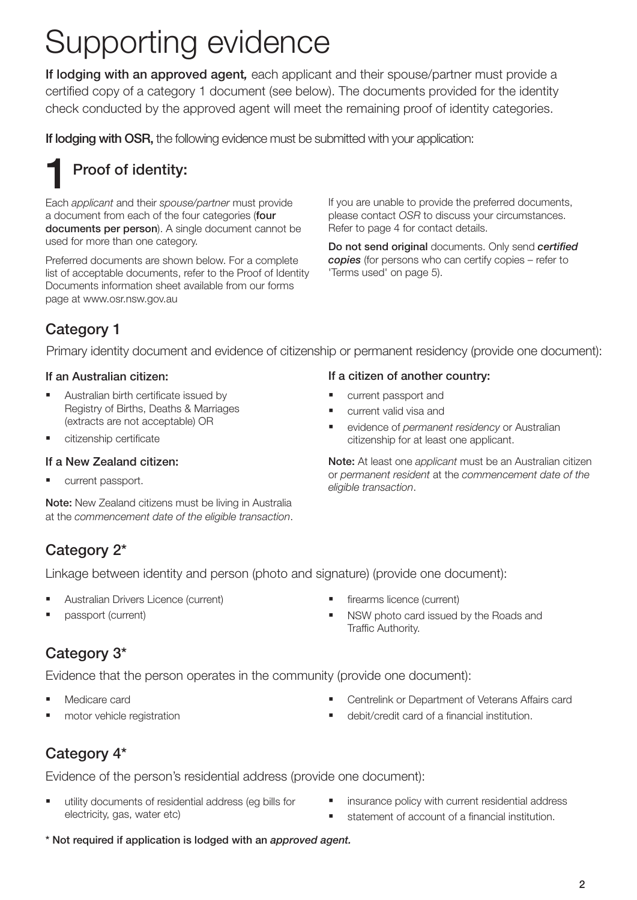# Supporting evidence

If lodging with an approved agent*,* each applicant and their spouse/partner must provide a certified copy of a category 1 document (see below). The documents provided for the identity check conducted by the approved agent will meet the remaining proof of identity categories.

If lodging with OSR, the following evidence must be submitted with your application:

## Proof of identity: 1

Each *applicant* and their *spouse/partner* must provide a document from each of the four categories (four documents per person). A single document cannot be used for more than one category.

Preferred documents are shown below. For a complete list of acceptable documents, refer to the Proof of Identity Documents information sheet available from our forms page at www.osr.nsw.gov.au

If you are unable to provide the preferred documents, please contact *OSR* to discuss your circumstances. Refer to page 4 for contact details.

Do not send original documents. Only send *certified copies* (for persons who can certify copies – refer to 'Terms used' on page 5).

## Category 1

Primary identity document and evidence of citizenship or permanent residency (provide one document):

### If an Australian citizen:

- **Australian birth certificate issued by** Registry of Births, Deaths & Marriages (extracts are not acceptable) OR
- citizenship certificate

### If a New Zealand citizen:

current passport.

Note: New Zealand citizens must be living in Australia at the *commencement date of the eligible transaction*.

### If a citizen of another country:

- **u** current passport and
- current valid visa and
- evidence of *permanent residency* or Australian citizenship for at least one applicant.

Note: At least one *applicant* must be an Australian citizen or *permanent resident* at the *commencement date of the eligible transaction*.

## Category 2\*

Linkage between identity and person (photo and signature) (provide one document):

- Australian Drivers Licence (current)
- **passport (current)**
- firearms licence (current)
- NSW photo card issued by the Roads and Traffic Authority.

## Category 3\*

Evidence that the person operates in the community (provide one document):

- Medicare card
- **n** motor vehicle registration
- Centrelink or Department of Veterans Affairs card
- debit/credit card of a financial institution.

## Category 4\*

Evidence of the person's residential address (provide one document):

- utility documents of reside<br>| electricity, gas, water etc utility documents of residential address (eg bills for
- **EXECUTE:** insurance policy with current residential address
- statement of account of a financial institution.
- \* Not required if application is lodged with an *approved agent.*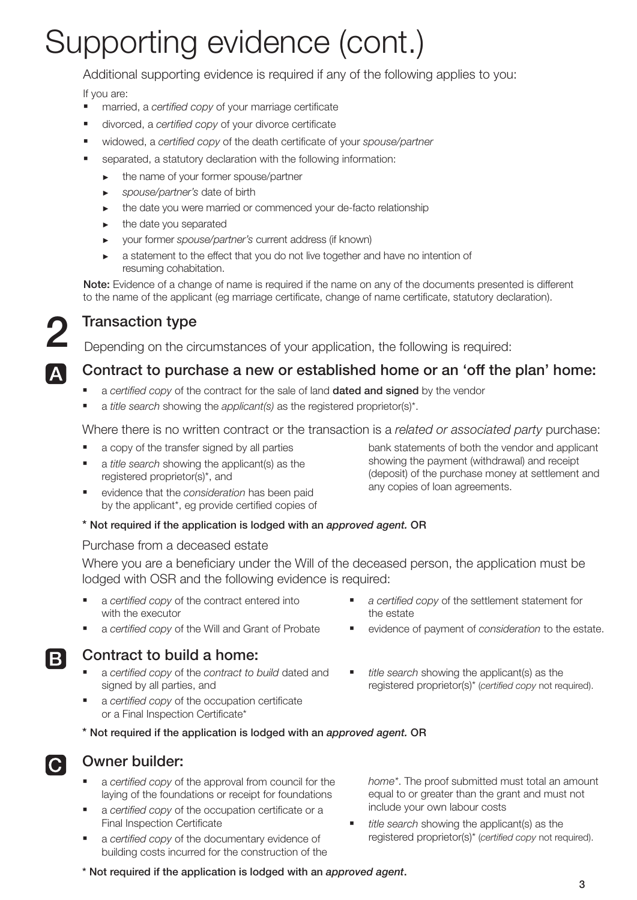# Supporting evidence (cont.)

Additional supporting evidence is required if any of the following applies to you:

If you are:

- married, a *certified copy* of your marriage certificate
- divorced, a *certified copy* of your divorce certificate
- widowed, a *certified copy* of the death certificate of your *spouse/partner*
- separated, a statutory declaration with the following information:
	- ► the name of your former spouse/partner
	- ► *spouse/partner's* date of birth
	- ► the date you were married or commenced your de-facto relationship
	- the date you separated
	- ► your former *spouse/partner's* current address (if known)
	- a statement to the effect that you do not live together and have no intention of resuming cohabitation.

Note: Evidence of a change of name is required if the name on any of the documents presented is different to the name of the applicant (eg marriage certificate, change of name certificate, statutory declaration).



**Transaction type**<br>Depending on the circumstances of your application, the following is required:

## Contract to purchase a new or established home or an 'off the plan' home:

- a *certified copy* of the contract for the sale of land dated and signed by the vendor
- a *title search* showing the *applicant(s)* as the registered proprietor(s)\*.

Where there is no written contract or the transaction is a *related or associated party* purchase:

- a copy of the transfer signed by all parties
- a *title search* showing the applicant(s) as the registered proprietor(s)\*, and
- evidence that the *consideration* has been paid by the applicant\*, eg provide certified copies of

bank statements of both the vendor and applicant showing the payment (withdrawal) and receipt (deposit) of the purchase money at settlement and any copies of loan agreements.

### \* Not required if the application is lodged with an *approved agent.* OR

#### Purchase from a deceased estate

Where you are a beneficiary under the Will of the deceased person, the application must be lodged with OSR and the following evidence is required:

- a *certified copy* of the contract entered into with the executor
- a *certified copy* of the Will and Grant of Probate

## Contract to build a home:

- a *certified copy* of the *contract to build* dated and signed by all parties, and
- a *certified copy* of the occupation certificate or a Final Inspection Certificate\*
- *a certified copy* of the settlement statement for the estate
- evidence of payment of *consideration* to the estate.
- *title search* showing the applicant(s) as the registered proprietor(s)\* (*certified copy* not required).
- \* Not required if the application is lodged with an *approved agent.* OR



B

## Owner builder:

- a *certified copy* of the approval from council for the laying of the foundations or receipt for foundations
- a *certified copy* of the occupation certificate or a Final Inspection Certificate
- a *certified copy* of the documentary evidence of building costs incurred for the construction of the

*home\**. The proof submitted must total an amount equal to or greater than the grant and must not include your own labour costs

- *title search* showing the applicant(s) as the  $\blacksquare$ registered proprietor(s)\* (*certified copy* not required).
- \* Not required if the application is lodged with an *approved agent*.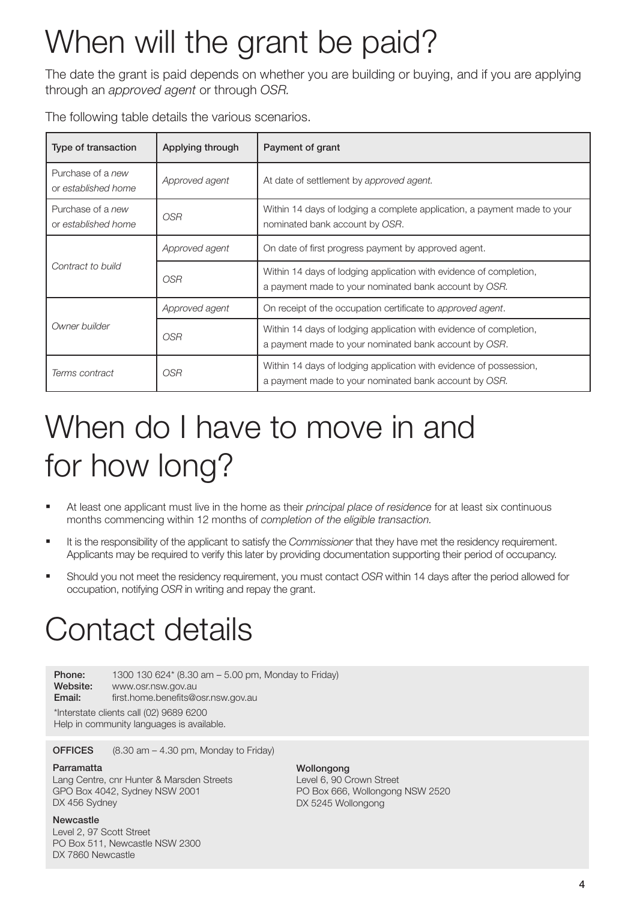# When will the grant be paid?

The date the grant is paid depends on whether you are building or buying, and if you are applying through an *approved agent* or through *OSR.*

The following table details the various scenarios.

| Type of transaction                                                                                                                                                  | Applying through | Payment of grant                                                                                                            |  |  |  |
|----------------------------------------------------------------------------------------------------------------------------------------------------------------------|------------------|-----------------------------------------------------------------------------------------------------------------------------|--|--|--|
| Purchase of a new<br>or established home                                                                                                                             | Approved agent   | At date of settlement by approved agent.                                                                                    |  |  |  |
| Purchase of a new<br>Within 14 days of lodging a complete application, a payment made to your<br><b>OSR</b><br>nominated bank account by OSR.<br>or established home |                  |                                                                                                                             |  |  |  |
|                                                                                                                                                                      | Approved agent   | On date of first progress payment by approved agent.                                                                        |  |  |  |
| Contract to build                                                                                                                                                    | OSR              | Within 14 days of lodging application with evidence of completion,<br>a payment made to your nominated bank account by OSR. |  |  |  |
|                                                                                                                                                                      | Approved agent   | On receipt of the occupation certificate to approved agent.                                                                 |  |  |  |
| Owner builder                                                                                                                                                        | <b>OSR</b>       | Within 14 days of lodging application with evidence of completion,<br>a payment made to your nominated bank account by OSR. |  |  |  |
| Terms contract                                                                                                                                                       | <i>OSR</i>       | Within 14 days of lodging application with evidence of possession,<br>a payment made to your nominated bank account by OSR. |  |  |  |

# When do I have to move in and for how long?

- At least one applicant must live in the home as their *principal place of residence* for at least six continuous months commencing within 12 months of *completion of the eligible transaction.*
- It is the responsibility of the applicant to satisfy the *Commissioner* that they have met the residency requirement. Applicants may be required to verify this later by providing documentation supporting their period of occupancy.
- Should you not meet the residency requirement, you must contact *OSR* within 14 days after the period allowed for occupation, notifying *OSR* in writing and repay the grant.

## Contact details

**Phone:** 1300 130 624\* (8.30 am – 5.00 pm, Monday to Friday) Website: www.osr.nsw.gov.au

**Email:** first.home.benefits@osr.nsw.gov.au

\*Interstate clients call (02) 9689 6200

Help in community languages is available.

**OFFICES** (8.30 am – 4.30 pm, Monday to Friday)

#### Parramatta

Lang Centre, cnr Hunter & Marsden Streets GPO Box 4042, Sydney NSW 2001 DX 456 Sydney

Newcastle

Level 2, 97 Scott Street PO Box 511, Newcastle NSW 2300 DX 7860 Newcastle

Wollongong Level 6, 90 Crown Street PO Box 666, Wollongong NSW 2520 DX 5245 Wollongong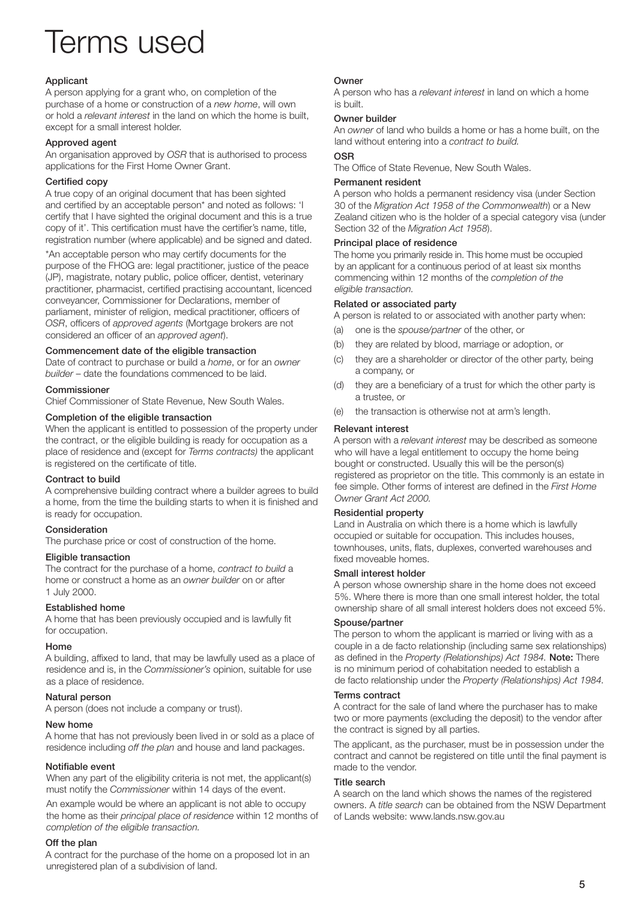## Terms used

#### Applicant

A person applying for a grant who, on completion of the purchase of a home or construction of a *new home*, will own or hold a *relevant interest* in the land on which the home is built, except for a small interest holder.

#### Approved agent

An organisation approved by *OSR* that is authorised to process applications for the First Home Owner Grant.

#### Certified copy

A true copy of an original document that has been sighted and certified by an acceptable person\* and noted as follows: 'I certify that I have sighted the original document and this is a true copy of it'. This certification must have the certifier's name, title, registration number (where applicable) and be signed and dated.

\*An acceptable person who may certify documents for the purpose of the FHOG are: legal practitioner, justice of the peace (JP), magistrate, notary public, police officer, dentist, veterinary practitioner, pharmacist, certified practising accountant, licenced conveyancer, Commissioner for Declarations, member of parliament, minister of religion, medical practitioner, officers of *OSR*, officers of *approved agents* (Mortgage brokers are not considered an officer of an *approved agent*).

#### Commencement date of the eligible transaction

Date of contract to purchase or build a *home*, or for an *owner builder* – date the foundations commenced to be laid.

#### Commissioner

Chief Commissioner of State Revenue, New South Wales.

#### Completion of the eligible transaction

When the applicant is entitled to possession of the property under the contract, or the eligible building is ready for occupation as a place of residence and (except for *Terms contracts)* the applicant is registered on the certificate of title.

#### Contract to build

A comprehensive building contract where a builder agrees to build a home, from the time the building starts to when it is finished and is ready for occupation.

#### Consideration

The purchase price or cost of construction of the home.

#### Eligible transaction

The contract for the purchase of a home, *contract to build* a home or construct a home as an *owner builder* on or after 1 July 2000.

#### Established home

A home that has been previously occupied and is lawfully fit for occupation.

#### Home

A building, affixed to land, that may be lawfully used as a place of residence and is, in the *Commissioner's* opinion, suitable for use as a place of residence.

#### Natural person

A person (does not include a company or trust).

#### New home

A home that has not previously been lived in or sold as a place of residence including *off the plan* and house and land packages.

#### Notifiable event

When any part of the eligibility criteria is not met, the applicant(s) must notify the *Commissioner* within 14 days of the event.

An example would be where an applicant is not able to occupy the home as their *principal place of residence* within 12 months of *completion of the eligible transaction.*

#### Off the plan

A contract for the purchase of the home on a proposed lot in an unregistered plan of a subdivision of land.

#### Owner

A person who has a *relevant interest* in land on which a home is built.

#### Owner builder

An *owner* of land who builds a home or has a home built, on the land without entering into a *contract to build.*

#### **OSR**

The Office of State Revenue, New South Wales.

#### Permanent resident

A person who holds a permanent residency visa (under Section 30 of the *Migration Act 1958 of the Commonwealth*) or a New Zealand citizen who is the holder of a special category visa (under Section 32 of the *Migration Act 1958*).

#### Principal place of residence

The home you primarily reside in. This home must be occupied by an applicant for a continuous period of at least six months commencing within 12 months of the *completion of the eligible transaction.*

#### Related or associated party

A person is related to or associated with another party when:

- (a) one is the *spouse/partner* of the other, or
- (b) they are related by blood, marriage or adoption, or
- (c) they are a shareholder or director of the other party, being a company, or
- (d) they are a beneficiary of a trust for which the other party is a trustee, or
- (e) the transaction is otherwise not at arm's length.

#### Relevant interest

A person with a *relevant interest* may be described as someone who will have a legal entitlement to occupy the home being bought or constructed. Usually this will be the person(s) registered as proprietor on the title. This commonly is an estate in fee simple. Other forms of interest are defined in the *First Home Owner Grant Act 2000.*

#### Residential property

Land in Australia on which there is a home which is lawfully occupied or suitable for occupation. This includes houses, townhouses, units, flats, duplexes, converted warehouses and fixed moveable homes.

#### Small interest holder

A person whose ownership share in the home does not exceed 5%. Where there is more than one small interest holder, the total ownership share of all small interest holders does not exceed 5%.

#### Spouse/partner

The person to whom the applicant is married or living with as a couple in a de facto relationship (including same sex relationships) as defined in the *Property (Relationships) Act 1984.* Note: There is no minimum period of cohabitation needed to establish a de facto relationship under the *Property (Relationships) Act 1984.*

#### Terms contract

A contract for the sale of land where the purchaser has to make two or more payments (excluding the deposit) to the vendor after the contract is signed by all parties.

The applicant, as the purchaser, must be in possession under the contract and cannot be registered on title until the final payment is made to the vendor.

#### Title search

A search on the land which shows the names of the registered owners. A *title search* can be obtained from the NSW Department of Lands website: www.lands.nsw.gov.au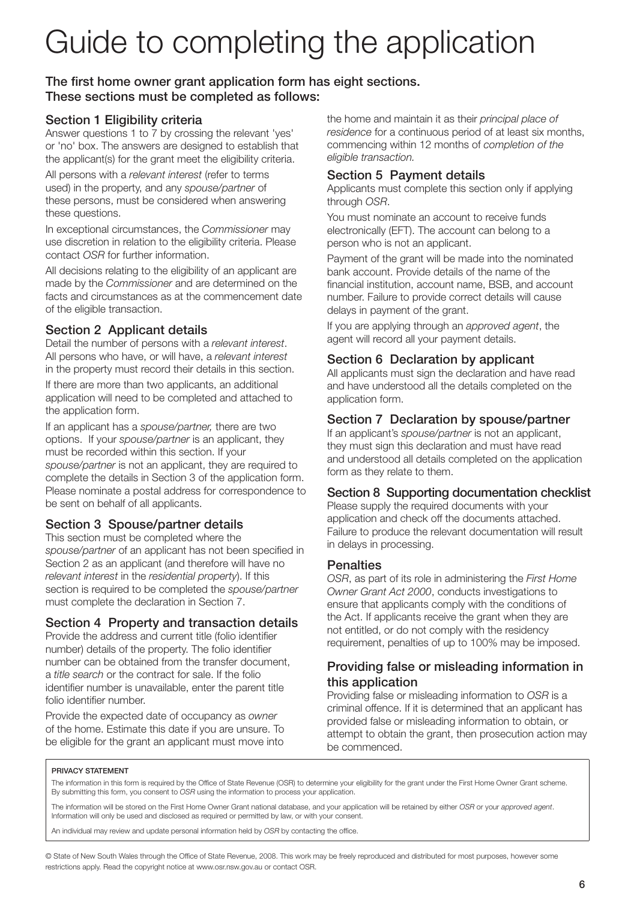# Guide to completing the application

## The first home owner grant application form has eight sections. These sections must be completed as follows:

## Section 1 Eligibility criteria

Answer questions 1 to 7 by crossing the relevant 'yes' or 'no' box. The answers are designed to establish that the applicant(s) for the grant meet the eligibility criteria.

All persons with a *relevant interest* (refer to terms used) in the property, and any *spouse/partner* of these persons, must be considered when answering these questions.

In exceptional circumstances, the *Commissioner* may use discretion in relation to the eligibility criteria. Please contact *OSR* for further information.

All decisions relating to the eligibility of an applicant are made by the *Commissioner* and are determined on the facts and circumstances as at the commencement date of the eligible transaction.

## Section 2 Applicant details

Detail the number of persons with a *relevant interest*. All persons who have, or will have, a *relevant interest* in the property must record their details in this section.

If there are more than two applicants, an additional application will need to be completed and attached to the application form.

If an applicant has a *spouse/partner,* there are two options. If your *spouse/partner* is an applicant, they must be recorded within this section. If your *spouse/partner* is not an applicant, they are required to complete the details in Section 3 of the application form. Please nominate a postal address for correspondence to be sent on behalf of all applicants.

## Section 3 Spouse/partner details

This section must be completed where the *spouse/partner* of an applicant has not been specified in Section 2 as an applicant (and therefore will have no *relevant interest* in the *residential property*). If this section is required to be completed the *spouse/partner* must complete the declaration in Section 7.

## Section 4 Property and transaction details

Provide the address and current title (folio identifier number) details of the property. The folio identifier number can be obtained from the transfer document, a *title search* or the contract for sale. If the folio identifier number is unavailable, enter the parent title folio identifier number.

Provide the expected date of occupancy as *owner*  of the home. Estimate this date if you are unsure. To be eligible for the grant an applicant must move into

the home and maintain it as their *principal place of residence* for a continuous period of at least six months, commencing within 12 months of *completion of the eligible transaction.*

## Section 5 Payment details

Applicants must complete this section only if applying through *OSR*.

You must nominate an account to receive funds electronically (EFT). The account can belong to a person who is not an applicant.

Payment of the grant will be made into the nominated bank account. Provide details of the name of the financial institution, account name, BSB, and account number. Failure to provide correct details will cause delays in payment of the grant.

If you are applying through an *approved agent*, the agent will record all your payment details.

## Section 6 Declaration by applicant

All applicants must sign the declaration and have read and have understood all the details completed on the application form.

## Section 7 Declaration by spouse/partner

If an applicant's *spouse/partner* is not an applicant, they must sign this declaration and must have read and understood all details completed on the application form as they relate to them.

### Section 8 Supporting documentation checklist

Please supply the required documents with your application and check off the documents attached. Failure to produce the relevant documentation will result in delays in processing.

### **Penalties**

*OSR*, as part of its role in administering the *First Home Owner Grant Act 2000*, conducts investigations to ensure that applicants comply with the conditions of the Act. If applicants receive the grant when they are not entitled, or do not comply with the residency requirement, penalties of up to 100% may be imposed.

## Providing false or misleading information in this application

Providing false or misleading information to *OSR* is a criminal offence. If it is determined that an applicant has provided false or misleading information to obtain, or attempt to obtain the grant, then prosecution action may be commenced.

#### PRIVACY STATEMENT

The information in this form is required by the Office of State Revenue (OSR) to determine your eligibility for the grant under the First Home Owner Grant scheme. By submitting this form, you consent to *OSR* using the information to process your application.

The information will be stored on the First Home Owner Grant national database, and your application will be retained by either *OSR* or your *approved agent*. Information will only be used and disclosed as required or permitted by law, or with your consent.

An individual may review and update personal information held by *OSR* by contacting the office.

© State of New South Wales through the Office of State Revenue, 2008. This work may be freely reproduced and distributed for most purposes, however some restrictions apply. Read the copyright notice at www.osr.nsw.gov.au or contact OSR.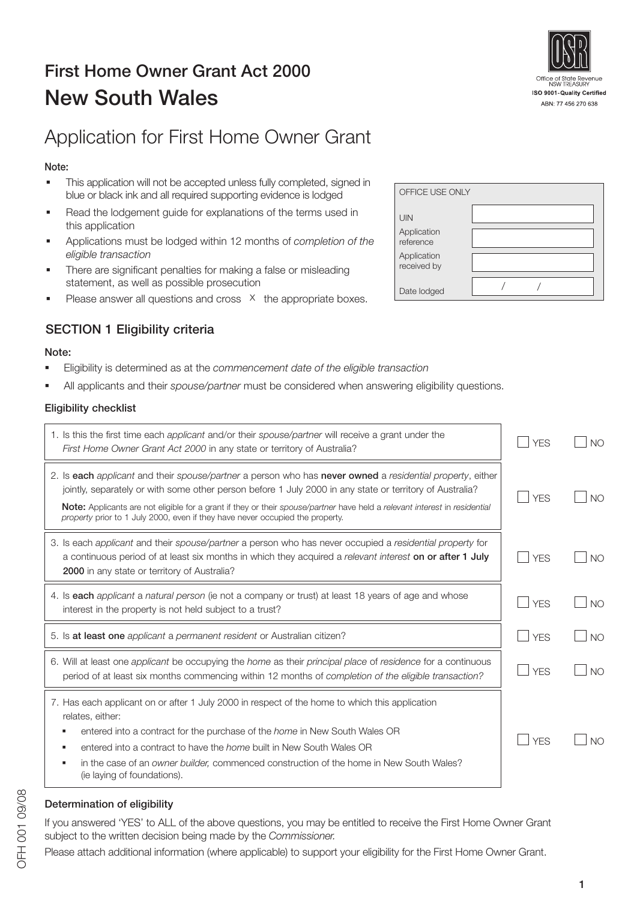## First Home Owner Grant Act 2000 New South Wales

## Application for First Home Owner Grant

## Note:

- This application will not be accepted unless fully completed, signed in blue or black ink and all required supporting evidence is lodged
- Read the lodgement guide for explanations of the terms used in this application
- Applications must be lodged within 12 months of *completion of the eligible transaction*
- There are significant penalties for making a false or misleading statement, as well as possible prosecution
- Please answer all questions and cross  $\overline{X}$  the appropriate boxes.

## SECTION 1 Eligibility criteria

#### Note:

- Eligibility is determined as at the *commencement date of the eligible transaction*
- All applicants and their *spouse/partner* must be considered when answering eligibility questions.

#### Eligibility checklist

| 1. Is this the first time each applicant and/or their spouse/partner will receive a grant under the<br>First Home Owner Grant Act 2000 in any state or territory of Australia?                                                                                                                                                                                                                                                       | <b>YFS</b> | N() |
|--------------------------------------------------------------------------------------------------------------------------------------------------------------------------------------------------------------------------------------------------------------------------------------------------------------------------------------------------------------------------------------------------------------------------------------|------------|-----|
| 2. Is each applicant and their spouse/partner a person who has never owned a residential property, either<br>jointly, separately or with some other person before 1 July 2000 in any state or territory of Australia?<br>Note: Applicants are not eligible for a grant if they or their spouse/partner have held a relevant interest in residential<br>property prior to 1 July 2000, even if they have never occupied the property. | <b>YFS</b> | N() |
| 3. Is each applicant and their spouse/partner a person who has never occupied a residential property for<br>a continuous period of at least six months in which they acquired a relevant interest on or after 1 July<br><b>2000</b> in any state or territory of Australia?                                                                                                                                                          | <b>YFS</b> | N() |
| 4. Is each applicant a natural person (ie not a company or trust) at least 18 years of age and whose<br>interest in the property is not held subject to a trust?                                                                                                                                                                                                                                                                     | <b>YES</b> | N() |
| 5. Is at least one applicant a permanent resident or Australian citizen?                                                                                                                                                                                                                                                                                                                                                             | <b>YFS</b> | N() |
| 6. Will at least one applicant be occupying the home as their principal place of residence for a continuous<br>period of at least six months commencing within 12 months of completion of the eligible transaction?                                                                                                                                                                                                                  | <b>YFS</b> | N() |
| 7. Has each applicant on or after 1 July 2000 in respect of the home to which this application<br>relates, either:<br>entered into a contract for the purchase of the <i>home</i> in New South Wales OR<br>entered into a contract to have the <i>home</i> built in New South Wales OR<br>in the case of an owner builder, commenced construction of the home in New South Wales?<br>٠<br>(ie laying of foundations).                | <b>YFS</b> | N() |

#### Determination of eligibility

If you answered 'YES' to ALL of the above questions, you may be entitled to receive the First Home Owner Grant subject to the written decision being made by the *Commissioner.* 

Please attach additional information (where applicable) to support your eligibility for the First Home Owner Grant.



| OFFICE USE ONLY            |  |
|----------------------------|--|
| UIN                        |  |
| Application<br>reference   |  |
| Application<br>received by |  |
| Date lodged                |  |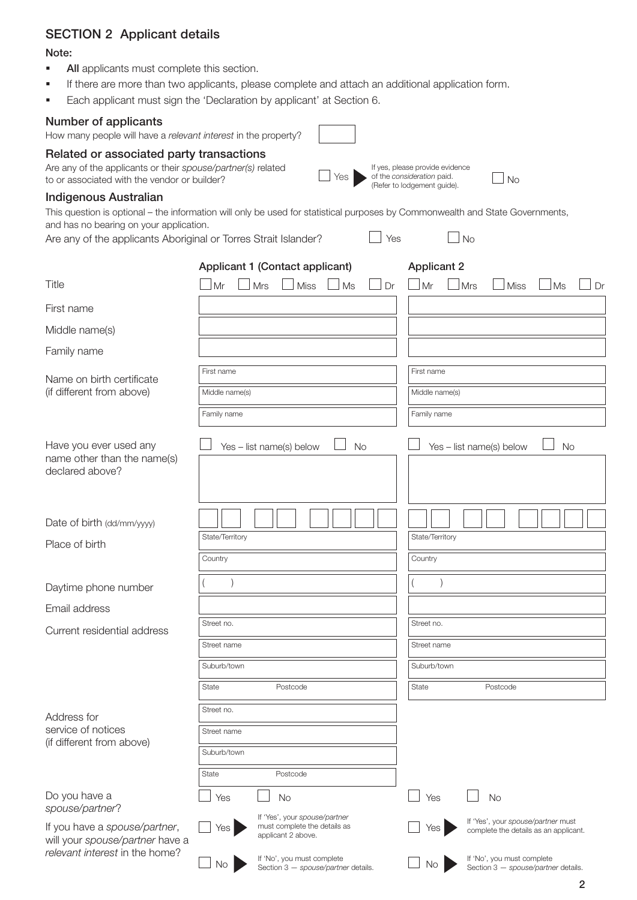## SECTION 2 Applicant details

#### Note:

- All applicants must complete this section.
- **If there are more than two applicants, please complete and attach an additional application form.**
- Each applicant must sign the 'Declaration by applicant' at Section 6.

#### Number of applicants

How many people will have a *relevant interest* in the property?

#### Related or associated party transactions

Are any of the applicants or their *spouse/partner(s)* related to or associated with the vendor or builder?

#### Indigenous Australian

This question is optional – the information will only be used for statistical purposes by Commonwealth and State Governments, and has no bearing on your application.

Yes

If yes, please provide evidence of the *consideration* paid. (Refer to lodgement guide).

 $\Box$ No

Yes

**No** 

Are any of the applicants Aboriginal or Torres Strait Islander?

|                                                                          | Applicant 1 (Contact applicant)                                                            | <b>Applicant 2</b>                                                                 |
|--------------------------------------------------------------------------|--------------------------------------------------------------------------------------------|------------------------------------------------------------------------------------|
| Title                                                                    | Mrs<br>Miss<br>Mr<br>Ms<br>Dr                                                              | Mrs<br>Mr<br>Ms<br><b>Miss</b><br>Dr                                               |
| First name                                                               |                                                                                            |                                                                                    |
| Middle name(s)                                                           |                                                                                            |                                                                                    |
| Family name                                                              |                                                                                            |                                                                                    |
| Name on birth certificate                                                | First name                                                                                 | First name                                                                         |
| (if different from above)                                                | Middle name(s)                                                                             | Middle name(s)                                                                     |
|                                                                          | Family name                                                                                | Family name                                                                        |
| Have you ever used any<br>name other than the name(s)<br>declared above? | Yes - list name(s) below<br><b>No</b>                                                      | Yes - list name(s) below<br>No                                                     |
| Date of birth (dd/mm/yyyy)                                               |                                                                                            |                                                                                    |
| Place of birth                                                           | State/Territory                                                                            | State/Territory                                                                    |
|                                                                          | Country                                                                                    | Country                                                                            |
| Daytime phone number                                                     |                                                                                            |                                                                                    |
| Email address                                                            |                                                                                            |                                                                                    |
| Current residential address                                              | Street no.                                                                                 | Street no.                                                                         |
|                                                                          | Street name                                                                                | Street name                                                                        |
|                                                                          | Suburb/town                                                                                | Suburb/town                                                                        |
|                                                                          | State<br>Postcode                                                                          | State<br>Postcode                                                                  |
| Address for                                                              | Street no.                                                                                 |                                                                                    |
| service of notices<br>(if different from above)                          | Street name                                                                                |                                                                                    |
|                                                                          | Suburb/town                                                                                |                                                                                    |
|                                                                          | State<br>Postcode                                                                          |                                                                                    |
| Do you have a<br>spouse/partner?                                         | Yes<br>No                                                                                  | Yes<br><b>No</b>                                                                   |
| If you have a spouse/partner,<br>will your spouse/partner have a         | If 'Yes', your spouse/partner<br>must complete the details as<br>Yes<br>applicant 2 above. | If 'Yes', your spouse/partner must<br>Yes<br>complete the details as an applicant. |
| relevant interest in the home?                                           | If 'No', you must complete<br>No<br>Section 3 - spouse/partner details.                    | If 'No', you must complete<br>No<br>Section 3 - spouse/partner details.            |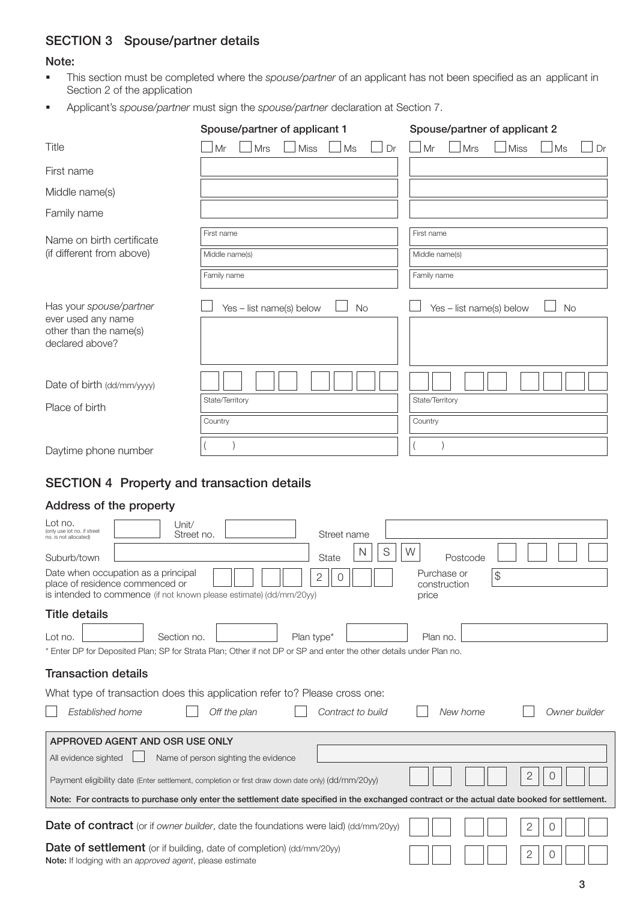## SECTION 3 Spouse/partner details

#### Note:

- This section must be completed where the *spouse/partner* of an applicant has not been specified as an applicant in Section 2 of the application
- Applicant's *spouse/partner* must sign the *spouse/partner* declaration at Section 7.

|                                                                                            | Spouse/partner of applicant 1        | Spouse/partner of applicant 2         |
|--------------------------------------------------------------------------------------------|--------------------------------------|---------------------------------------|
| Title                                                                                      | Mrs<br><b>Miss</b><br>Mr<br>Ms<br>Dr | Mrs<br><b>Miss</b><br>Ms<br>Mr<br>Dr  |
| First name                                                                                 |                                      |                                       |
| Middle name(s)                                                                             |                                      |                                       |
| Family name                                                                                |                                      |                                       |
| Name on birth certificate                                                                  | First name                           | First name                            |
| (if different from above)                                                                  | Middle name(s)                       | Middle name(s)                        |
|                                                                                            | Family name                          | Family name                           |
| Has your spouse/partner<br>ever used any name<br>other than the name(s)<br>declared above? | Yes - list name(s) below<br>No       | Yes - list name(s) below<br><b>No</b> |
| Date of birth (dd/mm/yyyy)                                                                 | State/Territory                      | State/Territory                       |
| Place of birth                                                                             | Country                              | Country                               |
| Daytime phone number                                                                       |                                      |                                       |

## SECTION 4 Property and transaction details

#### Address of the property

| Lot no.<br>Unit/<br>(only use lot no. if street<br>Street no.<br>Street name<br>no, is not allocated)                                                                                                       |
|-------------------------------------------------------------------------------------------------------------------------------------------------------------------------------------------------------------|
| S<br>W<br>N<br>Suburb/town<br><b>State</b><br>Postcode                                                                                                                                                      |
| Date when occupation as a principal<br>Purchase or<br>$\frac{1}{2}$<br>2<br>place of residence commenced or<br>construction<br>is intended to commence (if not known please estimate) (dd/mm/20yy)<br>price |
| <b>Title details</b>                                                                                                                                                                                        |
| Section no.<br>Plan type*<br>Lot no.<br>Plan no.                                                                                                                                                            |
| * Enter DP for Deposited Plan; SP for Strata Plan; Other if not DP or SP and enter the other details under Plan no.                                                                                         |
| <b>Transaction details</b>                                                                                                                                                                                  |
| What type of transaction does this application refer to? Please cross one:                                                                                                                                  |
| Established home<br>Off the plan<br>Contract to build<br>New home<br>Owner builder                                                                                                                          |
| APPROVED AGENT AND OSR USE ONLY                                                                                                                                                                             |
| All evidence sighted<br>Name of person sighting the evidence                                                                                                                                                |
| $\mathbf{2}$<br>$\cup$<br>Payment eligibility date (Enter settlement, completion or first draw down date only) (dd/mm/20yy)                                                                                 |
| Note: For contracts to purchase only enter the settlement date specified in the exchanged contract or the actual date booked for settlement.                                                                |
| <b>Date of contract</b> (or if owner builder, date the foundations were laid) (dd/mm/20yy)<br>2<br>$\left( \right)$                                                                                         |
| <b>Date of settlement</b> (or if building, date of completion) (dd/mm/20yy)<br>2<br>$\cup$<br>Note: If lodging with an approved agent, please estimate                                                      |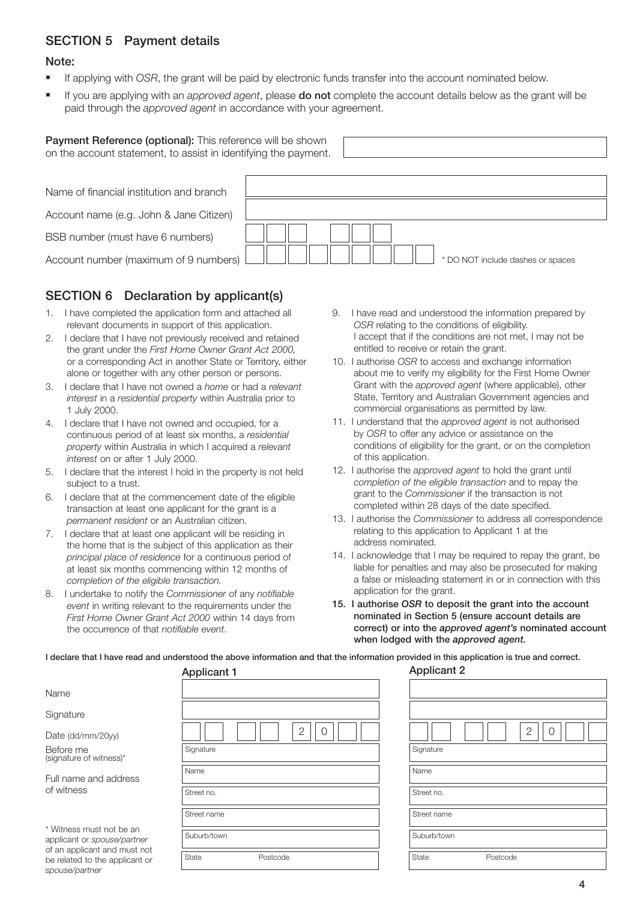## SECTION 5 Payment details

#### Note:

- If applying with *OSR*, the grant will be paid by electronic funds transfer into the account nominated below.
- If you are applying with an *approved agent*, please do not complete the account details below as the grant will be paid through the *approved agent* in accordance with your agreement.

| <b>Payment Reference (optional):</b> This reference will be shown<br>on the account statement, to assist in identifying the payment. |                                   |  |  |  |  |  |
|--------------------------------------------------------------------------------------------------------------------------------------|-----------------------------------|--|--|--|--|--|
|                                                                                                                                      |                                   |  |  |  |  |  |
| Name of financial institution and branch                                                                                             |                                   |  |  |  |  |  |
| Account name (e.g. John & Jane Citizen)                                                                                              |                                   |  |  |  |  |  |
| BSB number (must have 6 numbers)                                                                                                     |                                   |  |  |  |  |  |
| Account number (maximum of 9 numbers)                                                                                                | * DO NOT include dashes or spaces |  |  |  |  |  |

## SECTION 6 Declaration by applicant(s)

- 1. I have completed the application form and attached all relevant documents in support of this application.
- 2. I declare that I have not previously received and retained the grant under the *First Home Owner Grant Act 2000,* or a corresponding Act in another State or Territory, either alone or together with any other person or persons.
- 3. I declare that I have not owned a *home* or had a *relevant interest* in a *residential property* within Australia prior to 1 July 2000.
- 4. I declare that I have not owned and occupied, for a continuous period of at least six months, a *residential property* within Australia in which I acquired a *relevant interest* on or after 1 July 2000.
- 5. I declare that the interest I hold in the property is not held subject to a trust.
- 6. I declare that at the commencement date of the eligible transaction at least one applicant for the grant is a *permanent resident* or an Australian citizen.
- 7. I declare that at least one applicant will be residing in the home that is the subject of this application as their *principal place of residence* for a continuous period of at least six months commencing within 12 months of *completion of the eligible transaction.*
- 8. I undertake to notify the *Commissioner* of any *notifiable event* in writing relevant to the requirements under the *First Home Owner Grant Act 2000* within 14 days from the occurrence of that *notifiable event*.

be related to the applicant or

*spouse/partner*

- 9. I have read and understood the information prepared by *OSR* relating to the conditions of eligibility. I accept that if the conditions are not met, I may not be entitled to receive or retain the grant.
- 10. I authorise *OSR* to access and exchange information about me to verify my eligibility for the First Home Owner Grant with the *approved agent* (where applicable), other State, Territory and Australian Government agencies and commercial organisations as permitted by law.
- 11. I understand that the *approved agent* is not authorised by *OSR* to offer any advice or assistance on the conditions of eligibility for the grant, or on the completion of this application.
- 12. I authorise the *approved agent* to hold the grant until *completion of the eligible transaction* and to repay the grant to the *Commissioner* if the transaction is not completed within 28 days of the date specified.
- 13. I authorise the *Commissioner* to address all correspondence relating to this application to Applicant 1 at the address nominated.
- 14. I acknowledge that I may be required to repay the grant, be liable for penalties and may also be prosecuted for making a false or misleading statement in or in connection with this application for the grant.
- 15. I authorise *OSR* to deposit the grant into the account nominated in Section 5 (ensure account details are correct) or into the *approved agent's* nominated account when lodged with the *approved agent.*

I declare that I have read and understood the above information and that the information provided in this application is true and correct.

|                                                         | 1.1         |
|---------------------------------------------------------|-------------|
| Name                                                    |             |
| Signature                                               |             |
| Date (dd/mm/20yy)                                       | 2           |
| Before me<br>(signature of witness)*                    | Signature   |
| Full name and address                                   | Name        |
| of witness                                              | Street no.  |
|                                                         | Street name |
| * Witness must not be an<br>applicant or spouse/partner | Suburb/town |
| of an applicant and must not                            |             |

| <b>Applicant 1</b> | <b>Applicant 2</b> |
|--------------------|--------------------|
|                    |                    |
|                    |                    |
| $\mathbf{2}$<br>0  | $\mathbf{2}$<br>0  |
| Signature          | Signature          |
| Name               | Name               |
| Street no.         | Street no.         |
| Street name        | Street name        |
| Suburb/town        | Suburb/town        |
| State<br>Postcode  | State<br>Postcode  |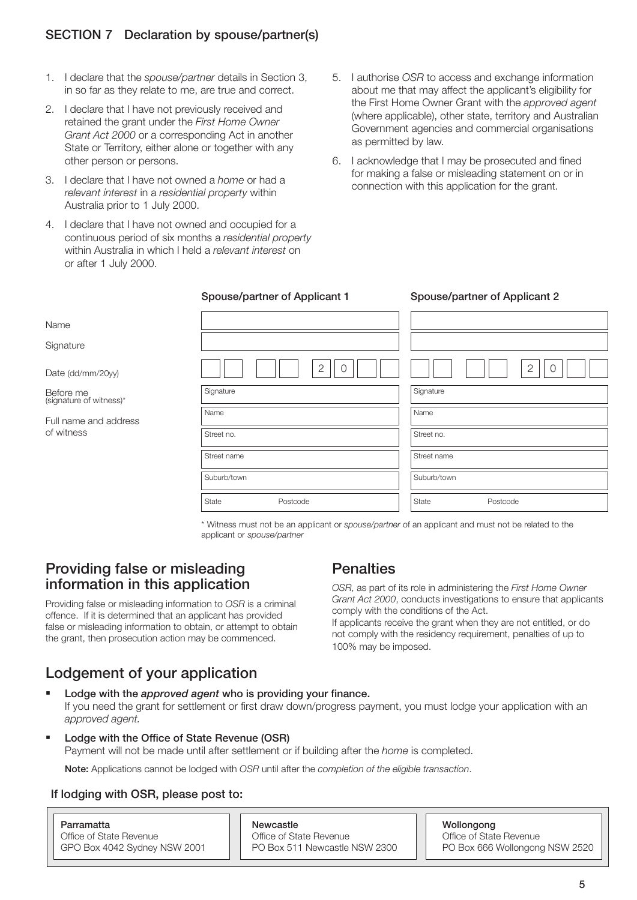## SECTION 7 Declaration by spouse/partner(s)

- 1. I declare that the *spouse/partner* details in Section 3, in so far as they relate to me, are true and correct.
- 2. I declare that I have not previously received and retained the grant under the *First Home Owner Grant Act 2000* or a corresponding Act in another State or Territory, either alone or together with any other person or persons.
- 3. I declare that I have not owned a *home* or had a *relevant interest* in a *residential property* within Australia prior to 1 July 2000.

- 4. I declare that I have not owned and occupied for a continuous period of six months a *residential property*  within Australia in which I held a *relevant interest* on or after 1 July 2000.
- 5. I authorise *OSR* to access and exchange information about me that may affect the applicant's eligibility for the First Home Owner Grant with the *approved agent* (where applicable), other state, territory and Australian Government agencies and commercial organisations as permitted by law.
- 6. I acknowledge that I may be prosecuted and fined for making a false or misleading statement on or in connection with this application for the grant.

| Name                                 |                            |       |                            |
|--------------------------------------|----------------------------|-------|----------------------------|
| Signature                            |                            |       |                            |
| Date (dd/mm/20yy)                    | $\overline{2}$<br>$\Omega$ |       | $\overline{2}$<br>$\Omega$ |
| Before me<br>(signature of witness)* | Signature                  |       | Signature                  |
| Full name and address                | Name                       | Name  |                            |
| of witness                           | Street no.                 |       | Street no.                 |
|                                      | Street name                |       | Street name                |
|                                      | Suburb/town                |       | Suburb/town                |
|                                      | State<br>Postcode          | State | Postcode                   |

\* Witness must not be an applicant or *spouse/partner* of an applicant and must not be related to the applicant or *spouse/partner*

## Providing false or misleading information in this application

Providing false or misleading information to *OSR* is a criminal offence. If it is determined that an applicant has provided false or misleading information to obtain, or attempt to obtain the grant, then prosecution action may be commenced.

## **Penalties**

*OSR*, as part of its role in administering the *First Home Owner Grant Act 2000*, conducts investigations to ensure that applicants comply with the conditions of the Act. If applicants receive the grant when they are not entitled, or do not comply with the residency requirement, penalties of up to 100% may be imposed.

## Lodgement of your application

- Lodge with the *approved agent* who is providing your finance. If you need the grant for settlement or first draw down/progress payment, you must lodge your application with an *approved agent.*
- Lodge with the Office of State Revenue (OSR) Payment will not be made until after settlement or if building after the *home* is completed.

Note: Applications cannot be lodged with *OSR* until after the *completion of the eligible transaction*.

#### If lodging with OSR, please post to:

| Parramatta                   | Newcastle           |
|------------------------------|---------------------|
| Office of State Revenue      | Office of State Rev |
| GPO Box 4042 Sydney NSW 2001 | PO Box 511 New      |

Wollongong venue **Office of State Revenue**<br>Castle NSW 2300 **PO Box 666 Wollongon** PO Box 511 Newcastle NSW 2300 PO Box 666 Wollongong NSW 2520

## Spouse/partner of Applicant 1 Spouse/partner of Applicant 2